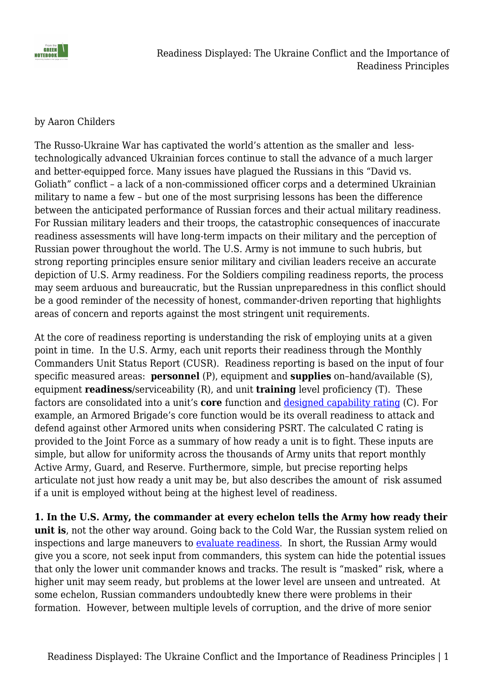

#### by Aaron Childers

The Russo-Ukraine War has captivated the world's attention as the smaller and lesstechnologically advanced Ukrainian forces continue to stall the advance of a much larger and better-equipped force. Many issues have plagued the Russians in this "David vs. Goliath" conflict – a lack of a non-commissioned officer corps and a determined Ukrainian military to name a few – but one of the most surprising lessons has been the difference between the anticipated performance of Russian forces and their actual military readiness. For Russian military leaders and their troops, the catastrophic consequences of inaccurate readiness assessments will have long-term impacts on their military and the perception of Russian power throughout the world. The U.S. Army is not immune to such hubris, but strong reporting principles ensure senior military and civilian leaders receive an accurate depiction of U.S. Army readiness. For the Soldiers compiling readiness reports, the process may seem arduous and bureaucratic, but the Russian unpreparedness in this conflict should be a good reminder of the necessity of honest, commander-driven reporting that highlights areas of concern and reports against the most stringent unit requirements.

At the core of readiness reporting is understanding the risk of employing units at a given point in time. In the U.S. Army, each unit reports their readiness through the Monthly Commanders Unit Status Report (CUSR). Readiness reporting is based on the input of four specific measured areas: **personnel** (P), equipment and **supplies** on–hand/available (S), equipment **readiness**/serviceability (R), and unit **training** level proficiency (T). These factors are consolidated into a unit's **core** function and [designed capability rating](https://armypubs.army.mil/epubs/dr_pubs/dr_a/pdf/web/r220_1.pdf) (C). For example, an Armored Brigade's core function would be its overall readiness to attack and defend against other Armored units when considering PSRT. The calculated C rating is provided to the Joint Force as a summary of how ready a unit is to fight. These inputs are simple, but allow for uniformity across the thousands of Army units that report monthly Active Army, Guard, and Reserve. Furthermore, simple, but precise reporting helps articulate not just how ready a unit may be, but also describes the amount of risk assumed if a unit is employed without being at the highest level of readiness.

**1. In the U.S. Army, the commander at every echelon tells the Army how ready their unit is**, not the other way around. Going back to the Cold War, the Russian system relied on inspections and large maneuvers to [evaluate readiness](https://www.amazon.com/Military-Readiness-Concepts-Choices-Consequences/dp/0815709056/ref=asc_df_0815709056/?tag=hyprod-20&linkCode=df0&hvadid=312643571004&hvpos=&hvnetw=g&hvrand=2960092652703767064&hvpone=&hvptwo=&hvqmt=&hvdev=c&hvdvcmdl=&hvlocint=&hvlocphy=9025582&hvtargid=pla-571063795869&psc=1). In short, the Russian Army would give you a score, not seek input from commanders, this system can hide the potential issues that only the lower unit commander knows and tracks. The result is "masked" risk, where a higher unit may seem ready, but problems at the lower level are unseen and untreated. At some echelon, Russian commanders undoubtedly knew there were problems in their formation. However, between multiple levels of corruption, and the drive of more senior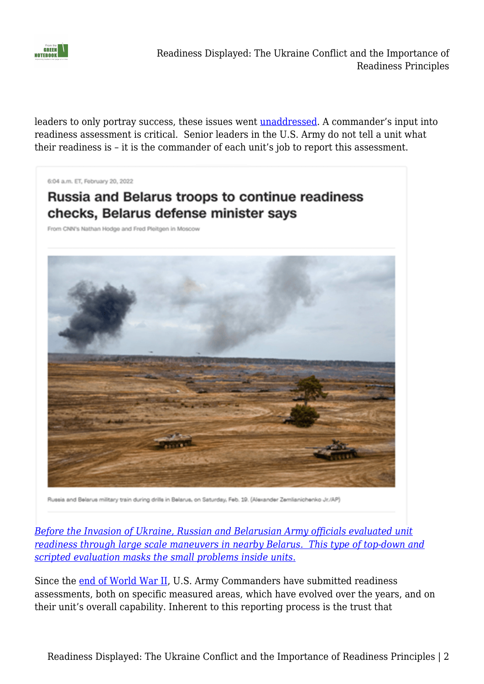

Readiness Displayed: The Ukraine Conflict and the Importance of Readiness Principles

leaders to only portray success, these issues went **unaddressed**. A commander's input into readiness assessment is critical. Senior leaders in the U.S. Army do not tell a unit what their readiness is – it is the commander of each unit's job to report this assessment.

6:04 a.m. ET, February 20, 2022

# **Russia and Belarus troops to continue readiness** checks, Belarus defense minister says

From CNN's Nathan Hodge and Fred Pleitgen in Moscow



Russia and Belarus military train during drills in Belarus, on Saturday, Feb. 19. (Alexander Zemlianichenko Jr./AP)

*[Before the Invasion of Ukraine, Russian and Belarusian Army officials evaluated unit](https://www.cnn.com/europe/live-news/ukraine-russia-news-02-20-22-intl/h_a3b9f47ca9006613e0ad6b2e6ad428f3.) [readiness through large scale maneuvers in nearby Belarus. This type of top-down and](https://www.cnn.com/europe/live-news/ukraine-russia-news-02-20-22-intl/h_a3b9f47ca9006613e0ad6b2e6ad428f3.) [scripted evaluation masks the small problems inside units.](https://www.cnn.com/europe/live-news/ukraine-russia-news-02-20-22-intl/h_a3b9f47ca9006613e0ad6b2e6ad428f3.)*

Since the [end of World War II](https://history.army.mil/html/books/070/70-130/cmhPub_70-130.pdf), U.S. Army Commanders have submitted readiness assessments, both on specific measured areas, which have evolved over the years, and on their unit's overall capability. Inherent to this reporting process is the trust that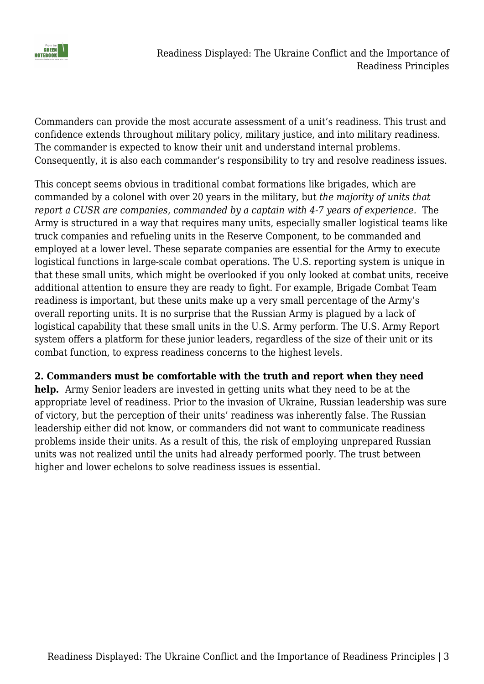

Commanders can provide the most accurate assessment of a unit's readiness. This trust and confidence extends throughout military policy, military justice, and into military readiness. The commander is expected to know their unit and understand internal problems. Consequently, it is also each commander's responsibility to try and resolve readiness issues.

This concept seems obvious in traditional combat formations like brigades, which are commanded by a colonel with over 20 years in the military, but *the majority of units that report a CUSR are companies, commanded by a captain with 4-7 years of experience.* The Army is structured in a way that requires many units, especially smaller logistical teams like truck companies and refueling units in the Reserve Component, to be commanded and employed at a lower level. These separate companies are essential for the Army to execute logistical functions in large-scale combat operations. The U.S. reporting system is unique in that these small units, which might be overlooked if you only looked at combat units, receive additional attention to ensure they are ready to fight. For example, Brigade Combat Team readiness is important, but these units make up a very small percentage of the Army's overall reporting units. It is no surprise that the Russian Army is plagued by a lack of logistical capability that these small units in the U.S. Army perform. The U.S. Army Report system offers a platform for these junior leaders, regardless of the size of their unit or its combat function, to express readiness concerns to the highest levels.

### **2. Commanders must be comfortable with the truth and report when they need**

**help.** Army Senior leaders are invested in getting units what they need to be at the appropriate level of readiness. Prior to the invasion of Ukraine, Russian leadership was sure of victory, but the perception of their units' readiness was inherently false. The Russian leadership either did not know, or commanders did not want to communicate readiness problems inside their units. As a result of this, the risk of employing unprepared Russian units was not realized until the units had already performed poorly. The trust between higher and lower echelons to solve readiness issues is essential.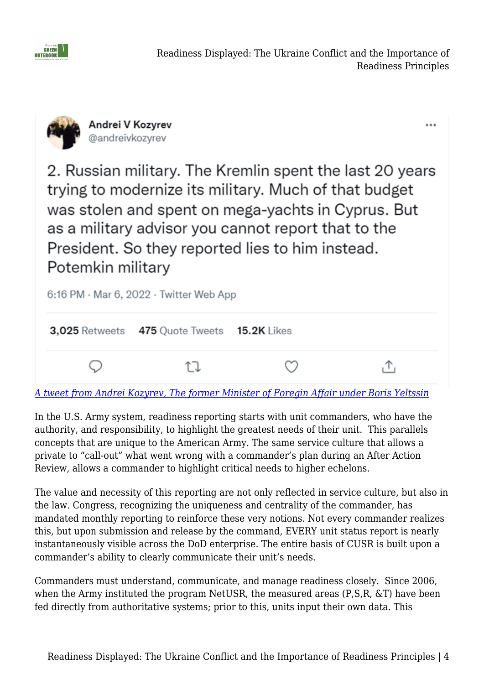

...



2. Russian military. The Kremlin spent the last 20 years trying to modernize its military. Much of that budget was stolen and spent on mega-yachts in Cyprus. But as a military advisor you cannot report that to the President. So they reported lies to him instead. Potemkin military



*[A tweet from Andrei Kozyrev, The former Minister of Foregin Affair under Boris Yeltssin](https://www.nytimes.com/2022/03/07/us/politics/russia-ukraine-military.html)*

In the U.S. Army system, readiness reporting starts with unit commanders, who have the authority, and responsibility, to highlight the greatest needs of their unit. This parallels concepts that are unique to the American Army. The same service culture that allows a private to "call-out" what went wrong with a commander's plan during an After Action Review, allows a commander to highlight critical needs to higher echelons.

The value and necessity of this reporting are not only reflected in service culture, but also in the law. Congress, recognizing the uniqueness and centrality of the commander, has mandated monthly reporting to reinforce these very notions. Not every commander realizes this, but upon submission and release by the command, EVERY unit status report is nearly instantaneously visible across the DoD enterprise. The entire basis of CUSR is built upon a commander's ability to clearly communicate their unit's needs.

Commanders must understand, communicate, and manage readiness closely. Since 2006, when the Army instituted the program NetUSR, the measured areas (P,S,R, &T) have been fed directly from authoritative systems; prior to this, units input their own data. This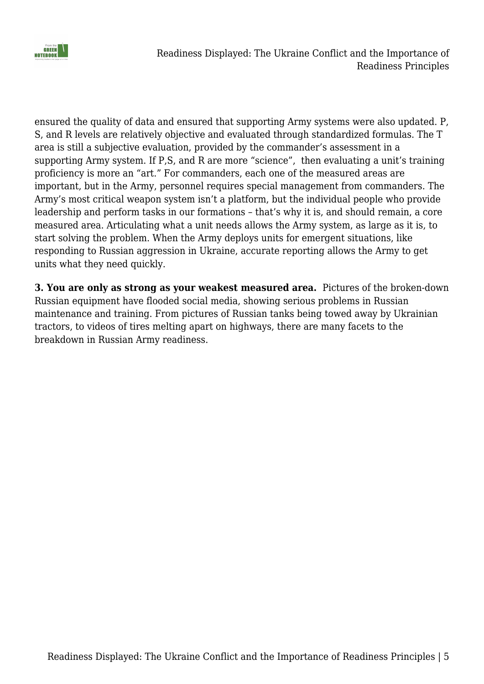

ensured the quality of data and ensured that supporting Army systems were also updated. P, S, and R levels are relatively objective and evaluated through standardized formulas. The T area is still a subjective evaluation, provided by the commander's assessment in a supporting Army system. If P,S, and R are more "science", then evaluating a unit's training proficiency is more an "art." For commanders, each one of the measured areas are important, but in the Army, personnel requires special management from commanders. The Army's most critical weapon system isn't a platform, but the individual people who provide leadership and perform tasks in our formations – that's why it is, and should remain, a core measured area. Articulating what a unit needs allows the Army system, as large as it is, to start solving the problem. When the Army deploys units for emergent situations, like responding to Russian aggression in Ukraine, accurate reporting allows the Army to get units what they need quickly.

**3. You are only as strong as your weakest measured area.** Pictures of the broken-down Russian equipment have flooded social media, showing serious problems in Russian maintenance and training. From pictures of Russian tanks being towed away by Ukrainian tractors, to videos of tires melting apart on highways, there are many facets to the breakdown in Russian Army readiness.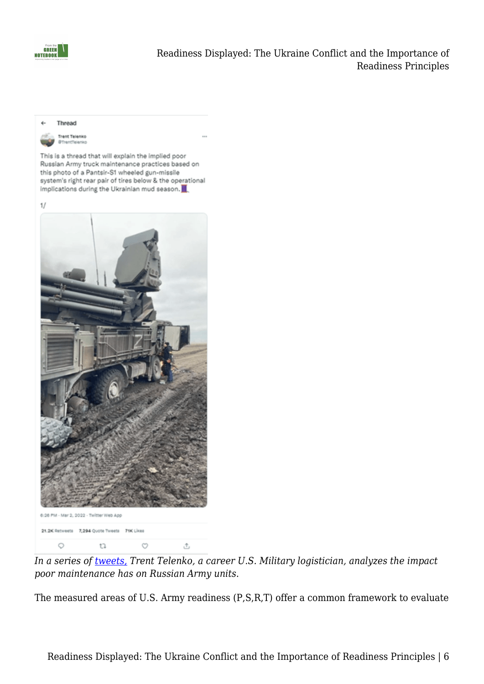



*In a series of [tweets,](https://twitter.com/jonostrower/status/1499227073100992519) Trent Telenko, a career U.S. Military logistician, analyzes the impact poor maintenance has on Russian Army units*.

The measured areas of U.S. Army readiness (P,S,R,T) offer a common framework to evaluate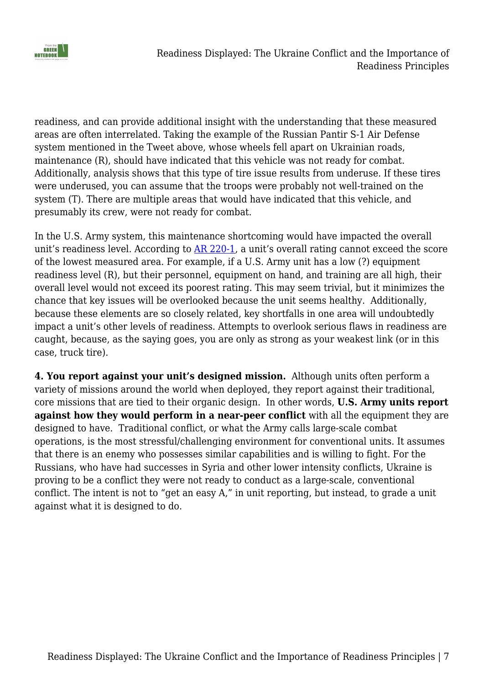

readiness, and can provide additional insight with the understanding that these measured areas are often interrelated. Taking the example of the Russian Pantir S-1 Air Defense system mentioned in the Tweet above, whose wheels fell apart on Ukrainian roads, maintenance (R), should have indicated that this vehicle was not ready for combat. Additionally, analysis shows that this type of tire issue results from underuse. If these tires were underused, you can assume that the troops were probably not well-trained on the system (T). There are multiple areas that would have indicated that this vehicle, and presumably its crew, were not ready for combat.

In the U.S. Army system, this maintenance shortcoming would have impacted the overall unit's readiness level. According to [AR 220-1](https://armypubs.army.mil/epubs/dr_pubs/dr_a/pdf/web/r220_1.pdf), a unit's overall rating cannot exceed the score of the lowest measured area. For example, if a U.S. Army unit has a low (?) equipment readiness level (R), but their personnel, equipment on hand, and training are all high, their overall level would not exceed its poorest rating. This may seem trivial, but it minimizes the chance that key issues will be overlooked because the unit seems healthy. Additionally, because these elements are so closely related, key shortfalls in one area will undoubtedly impact a unit's other levels of readiness. Attempts to overlook serious flaws in readiness are caught, because, as the saying goes, you are only as strong as your weakest link (or in this case, truck tire).

**4. You report against your unit's designed mission.** Although units often perform a variety of missions around the world when deployed, they report against their traditional, core missions that are tied to their organic design. In other words, **U.S. Army units report against how they would perform in a near-peer conflict** with all the equipment they are designed to have. Traditional conflict, or what the Army calls large-scale combat operations, is the most stressful/challenging environment for conventional units. It assumes that there is an enemy who possesses similar capabilities and is willing to fight. For the Russians, who have had successes in Syria and other lower intensity conflicts, Ukraine is proving to be a conflict they were not ready to conduct as a large-scale, conventional conflict. The intent is not to "get an easy A," in unit reporting, but instead, to grade a unit against what it is designed to do.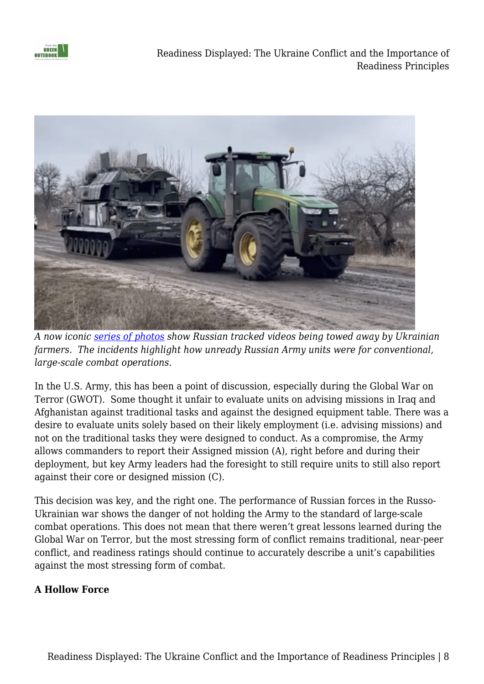

Readiness Displayed: The Ukraine Conflict and the Importance of Readiness Principles



*A now iconic [series of photos](https://www.cbc.ca/news/world/ukraine-farmers-1.6387964) show Russian tracked videos being towed away by Ukrainian farmers. The incidents highlight how unready Russian Army units were for conventional, large-scale combat operations.*

In the U.S. Army, this has been a point of discussion, especially during the Global War on Terror (GWOT). Some thought it unfair to evaluate units on advising missions in Iraq and Afghanistan against traditional tasks and against the designed equipment table. There was a desire to evaluate units solely based on their likely employment (i.e. advising missions) and not on the traditional tasks they were designed to conduct. As a compromise, the Army allows commanders to report their Assigned mission (A), right before and during their deployment, but key Army leaders had the foresight to still require units to still also report against their core or designed mission (C).

This decision was key, and the right one. The performance of Russian forces in the Russo-Ukrainian war shows the danger of not holding the Army to the standard of large-scale combat operations. This does not mean that there weren't great lessons learned during the Global War on Terror, but the most stressing form of conflict remains traditional, near-peer conflict, and readiness ratings should continue to accurately describe a unit's capabilities against the most stressing form of combat.

### **A Hollow Force**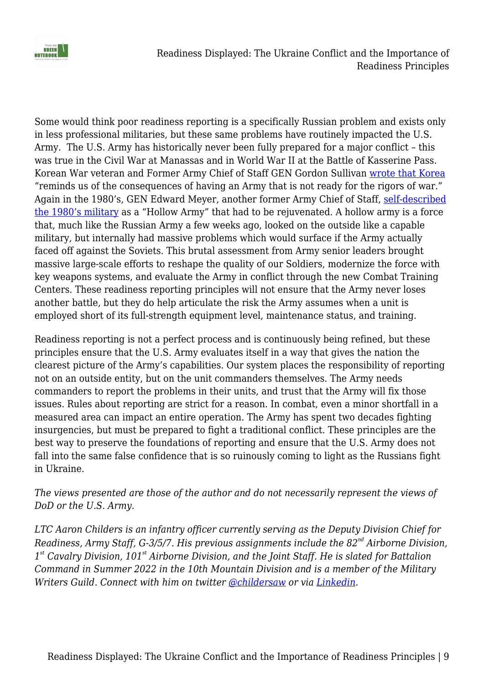

Readiness Displayed: The Ukraine Conflict and the Importance of Readiness Principles

Some would think poor readiness reporting is a specifically Russian problem and exists only in less professional militaries, but these same problems have routinely impacted the U.S. Army. The U.S. Army has historically never been fully prepared for a major conflict – this was true in the Civil War at Manassas and in World War II at the Battle of Kasserine Pass. Korean War veteran and Former Army Chief of Staff GEN Gordon Sullivan [wrote that Korea](https://www.amazon.com/This-Kind-of-War-T-R-Fehrenbach-audiobook/dp/B003XJHXLY/ref=sr_1_1?crid=GMXHYOMJ5G5Z&keywords=This+Kind+of+War&qid=1654549936&sprefix=this+kind+of+war%2Caps%2C190&sr=8-1) "reminds us of the consequences of having an Army that is not ready for the rigors of war." Again in the 1980's, GEN Edward Meyer, another former Army Chief of Staff, [self-described](https://www.washingtonpost.com/local/obituaries/edward-c-meyer-general-who-revamped-post-vietnam-hollow-army-dies-at-91/2020/10/13/141fbc48-0436-11eb-a2db-417cddf4816a_story.html) [the 1980's military](https://www.washingtonpost.com/local/obituaries/edward-c-meyer-general-who-revamped-post-vietnam-hollow-army-dies-at-91/2020/10/13/141fbc48-0436-11eb-a2db-417cddf4816a_story.html) as a "Hollow Army" that had to be rejuvenated. A hollow army is a force that, much like the Russian Army a few weeks ago, looked on the outside like a capable military, but internally had massive problems which would surface if the Army actually faced off against the Soviets. This brutal assessment from Army senior leaders brought massive large-scale efforts to reshape the quality of our Soldiers, modernize the force with key weapons systems, and evaluate the Army in conflict through the new Combat Training Centers. These readiness reporting principles will not ensure that the Army never loses another battle, but they do help articulate the risk the Army assumes when a unit is employed short of its full-strength equipment level, maintenance status, and training.

Readiness reporting is not a perfect process and is continuously being refined, but these principles ensure that the U.S. Army evaluates itself in a way that gives the nation the clearest picture of the Army's capabilities. Our system places the responsibility of reporting not on an outside entity, but on the unit commanders themselves. The Army needs commanders to report the problems in their units, and trust that the Army will fix those issues. Rules about reporting are strict for a reason. In combat, even a minor shortfall in a measured area can impact an entire operation. The Army has spent two decades fighting insurgencies, but must be prepared to fight a traditional conflict. These principles are the best way to preserve the foundations of reporting and ensure that the U.S. Army does not fall into the same false confidence that is so ruinously coming to light as the Russians fight in Ukraine.

*The views presented are those of the author and do not necessarily represent the views of DoD or the U.S. Army.*

*LTC Aaron Childers is an infantry officer currently serving as the Deputy Division Chief for Readiness, Army Staff, G-3/5/7. His previous assignments include the 82nd Airborne Division, 1 st Cavalry Division, 101st Airborne Division, and the Joint Staff. He is slated for Battalion Command in Summer 2022 in the 10th Mountain Division and is a member of the Military Writers Guild. Connect with him on twitter [@childersaw](https://twitter.com/childersaw) or via [Linkedin](https://t.co/4khDhnIvIy).*